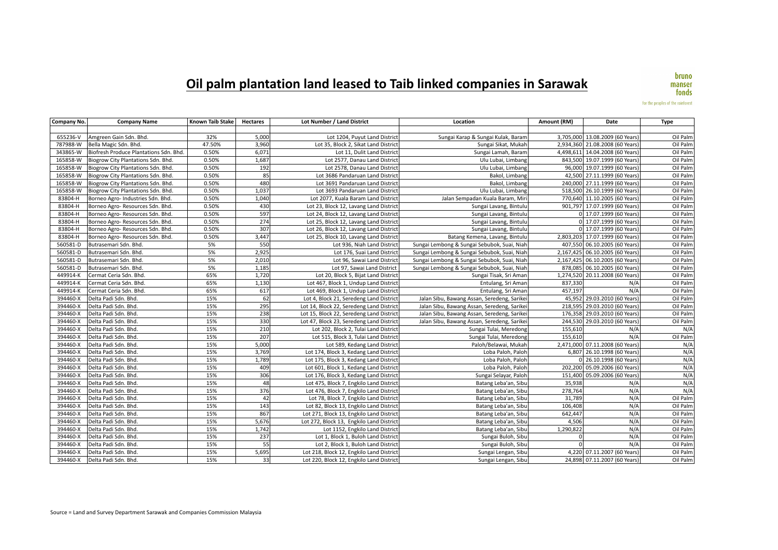## $'$ Oil palm plantation land leased to Taib linked companies in Sarawak

bruno manser fonds

for the peoples of the rainforest

| Company No. | <b>Company Name</b>                    | <b>Known Taib Stake</b> | <b>Hectares</b>  | Lot Number / Land District               | Location                                    | Amount (RM) | Date                            | <b>Type</b> |
|-------------|----------------------------------------|-------------------------|------------------|------------------------------------------|---------------------------------------------|-------------|---------------------------------|-------------|
|             |                                        |                         |                  |                                          |                                             |             |                                 |             |
| 655236-V    | Amgreen Gain Sdn. Bhd.                 | 32%                     | 5,000            | Lot 1204, Puyut Land District            | Sungai Karap & Sungai Kulak, Baram          |             | 3,705,000 13.08.2009 (60 Years) | Oil Palm    |
| 787988-W    | Bella Magic Sdn. Bhd.                  | 47.50%                  | 3,960            | Lot 35. Block 2. Sikat Land District     | Sungai Sikat, Mukah                         |             | 2.934.360 21.08.2008 (60 Years) | Oil Palm    |
| 343865-W    | Biofresh Produce Plantations Sdn. Bhd. | 0.50%                   | 6,071            | Lot 11, Dulit Land District              | Sungai Lamah, Baram                         |             | 4,498,611 14.04.2008 (60 Years) | Oil Palm    |
| 165858-W    | Biogrow City Plantations Sdn. Bhd.     | 0.50%                   | 1,687            | Lot 2577, Danau Land District            | Ulu Lubai, Limbang                          |             | 843,500 19.07.1999 (60 Years)   | Oil Palm    |
| 165858-W    | Biogrow City Plantations Sdn. Bhd.     | 0.50%                   | 192              | Lot 2578, Danau Land District            | Ulu Lubai, Limbang                          |             | 96,000 19.07.1999 (60 Years)    | Oil Palm    |
| 165858-W    | Biogrow City Plantations Sdn. Bhd.     | 0.50%                   | 85               | Lot 3686 Pandaruan Land District         | Bakol, Limbang                              |             | 42,500 27.11.1999 (60 Years)    | Oil Palm    |
| 165858-W    | Biogrow City Plantations Sdn. Bhd.     | 0.50%                   | 480              | Lot 3691 Pandaruan Land District         | Bakol, Limbang                              |             | 240,000 27.11.1999 (60 Years)   | Oil Palm    |
| 165858-W    | Biogrow City Plantations Sdn. Bhd.     | 0.50%                   | 1,037            | Lot 3693 Pandaruan Land District         | Ulu Lubai, Limbang                          |             | 518,500 26.10.1999 (60 Years)   | Oil Palm    |
| 83804-H     | Borneo Agro- Industries Sdn. Bhd.      | 0.50%                   | 1,040            | Lot 2077, Kuala Baram Land District      | Jalan Sempadan Kuala Baram, Miri            |             | 770,640 11.10.2005 (60 Years)   | Oil Palm    |
| 83804-H     | Borneo Agro- Resources Sdn. Bhd.       | 0.50%                   | 430              | Lot 23, Block 12, Lavang Land District   | Sungai Lavang, Bintulu                      |             | 901,797 17.07.1999 (60 Years)   | Oil Palm    |
| 83804-H     | Borneo Agro- Resources Sdn. Bhd.       | 0.50%                   | 597              | Lot 24, Block 12, Lavang Land District   | Sungai Lavang, Bintulu                      |             | 0 17.07.1999 (60 Years)         | Oil Palm    |
| 83804-H     | Borneo Agro- Resources Sdn. Bhd.       | 0.50%                   | 274              | Lot 25, Block 12, Lavang Land District   | Sungai Lavang, Bintulu                      |             | 0 17.07.1999 (60 Years)         | Oil Palm    |
| 83804-H     | Borneo Agro-Resources Sdn. Bhd.        | 0.50%                   | 307              | Lot 26, Block 12, Lavang Land District   | Sungai Lavang, Bintulu                      |             | 0 17.07.1999 (60 Years)         | Oil Palm    |
| 83804-H     | Borneo Agro- Resources Sdn. Bhd.       | 0.50%                   | 3,447            | Lot 25, Block 10, Lavang Land District   | Batang Kemena, Lavang, Bintulu              |             | 2,803,203 17.07.1999 (60 Years) | Oil Palm    |
| 560581-D    | Butrasemari Sdn. Bhd.                  | 5%                      | 550              | Lot 936, Niah Land District              | Sungai Lembong & Sungai Sebubok, Suai, Niah |             | 407,550 06.10.2005 (60 Years)   | Oil Palm    |
| 560581-D    | Butrasemari Sdn. Bhd.                  | 5%                      | 2,925            | Lot 176, Suai Land District              | Sungai Lembong & Sungai Sebubok, Suai, Niah |             | 2,167,425 06.10.2005 (60 Years) | Oil Palm    |
| 560581-D    | Butrasemari Sdn. Bhd.                  | 5%                      | 2,010            | Lot 96, Sawai Land District              | Sungai Lembong & Sungai Sebubok, Suai, Niah |             | 2,167,425 06.10.2005 (60 Years) | Oil Palm    |
| 560581-D    | Butrasemari Sdn. Bhd.                  | 5%                      | 1,185            | Lot 97, Sawai Land District              | Sungai Lembong & Sungai Sebubok, Suai, Niah |             | 878,085 06.10.2005 (60 Years)   | Oil Palm    |
| 449914-K    | Cermat Ceria Sdn. Bhd.                 | 65%                     | 1,720            | Lot 20, Block 5, Bijat Land District     | Sungai Tisak, Sri Aman                      |             | 1,274,520 20.11.2008 (60 Years) | Oil Palm    |
| 449914-K    | Cermat Ceria Sdn. Bhd.                 | 65%                     | 1,130            | Lot 467, Block 1, Undup Land District    | Entulang, Sri Aman                          | 837,330     | N/A                             | Oil Palm    |
| 449914-K    | Cermat Ceria Sdn. Bhd.                 | 65%                     | 617              | Lot 469, Block 1, Undup Land District    | Entulang, Sri Aman                          | 457,197     | N/A                             | Oil Palm    |
| 394460-X    | Delta Padi Sdn. Bhd.                   | 15%                     | 62               | Lot 4, Block 21, Seredeng Land District  | Jalan Sibu, Bawang Assan, Seredeng, Sarikei |             | 45,952 29.03.2010 (60 Years)    | Oil Palm    |
| 394460-X    | Delta Padi Sdn. Bhd.                   | 15%                     | 295              | Lot 14, Block 22, Seredeng Land District | Jalan Sibu, Bawang Assan, Seredeng, Sarikei |             | 218,595 29.03.2010 (60 Years)   | Oil Palm    |
| 394460-X    | Delta Padi Sdn. Bhd.                   | 15%                     | 238              | Lot 15, Block 22, Seredeng Land District | Jalan Sibu, Bawang Assan, Seredeng, Sarikei |             | 176,358 29.03.2010 (60 Years)   | Oil Palm    |
| 394460-X    | Delta Padi Sdn. Bhd.                   | 15%                     | 330              | Lot 47, Block 23, Seredeng Land District | Jalan Sibu, Bawang Assan, Seredeng, Sarikei |             | 244,530 29.03.2010 (60 Years)   | Oil Palm    |
| 394460-X    | Delta Padi Sdn. Bhd.                   | 15%                     | 210              | Lot 202, Block 2, Tulai Land District    | Sungai Tulai, Meredong                      | 155,610     | N/A                             | N/A         |
| 394460-X    | Delta Padi Sdn. Bhd.                   | 15%                     | 207              | Lot 515, Block 3, Tulai Land District    | Sungai Tulai, Meredong                      | 155,610     | N/A                             | Oil Palm    |
| 394460-X    | Delta Padi Sdn. Bhd.                   | 15%                     | 5,000            | Lot 589, Kedang Land District            | Paloh/Belawai, Mukah                        |             | 2,471,000 07.11.2008 (60 Years) | N/A         |
| 394460-X    | Delta Padi Sdn. Bhd.                   | 15%                     | 3,769            | Lot 174, Block 3, Kedang Land District   | Loba Paloh, Paloh                           |             | 6,807 26.10.1998 (60 Years)     | N/A         |
| 394460-X    | Delta Padi Sdn. Bhd.                   | 15%                     | 1,789            | Lot 175, Block 3, Kedang Land District   | Loba Paloh, Paloh                           |             | 0 26.10.1998 (60 Years)         | N/A         |
| 394460-X    | Delta Padi Sdn. Bhd.                   | 15%                     | 409              | Lot 601, Block 1, Kedang Land District   | Loba Paloh, Paloh                           |             | 202,200 05.09.2006 (60 Years)   | N/A         |
| 394460-X    | Delta Padi Sdn. Bhd.                   | 15%                     | 306              | Lot 176, Block 3, Kedang Land District   | Sungai Selayar, Paloh                       |             | 151,400 05.09.2006 (60 Years)   | N/A         |
| 394460-X    | Delta Padi Sdn. Bhd.                   | 15%                     | 48               | Lot 475, Block 7, Engkilo Land District  | Batang Leba'an, Sibu                        | 35,938      | N/A                             | N/A         |
| 394460-X    | Delta Padi Sdn. Bhd.                   | 15%                     | 376              | Lot 476, Block 7, Engkilo Land District  | Batang Leba'an, Sibu                        | 278,764     | N/A                             | N/A         |
| 394460-X    | Delta Padi Sdn. Bhd.                   | 15%                     | 42               | Lot 78, Block 7, Engkilo Land District   | Batang Leba'an, Sibu                        | 31.789      | N/A                             | Oil Palm    |
| 394460-X    | Delta Padi Sdn. Bhd.                   | 15%                     | $\overline{143}$ | Lot 82, Block 13, Engkilo Land District  | Batang Leba'an, Sibu                        | 106,408     | N/A                             | Oil Palm    |
| 394460-X    | Delta Padi Sdn. Bhd.                   | 15%                     | 867              | Lot 271, Block 13, Engkilo Land District | Batang Leba'an, Sibu                        | 642,447     | N/A                             | Oil Palm    |
| 394460-X    | Delta Padi Sdn. Bhd.                   | 15%                     | 5,676            | Lot 272, Block 13, Engkilo Land District | Batang Leba'an, Sibu                        | 4,506       | N/A                             | Oil Palm    |
| 394460-X    | Delta Padi Sdn. Bhd.                   | 15%                     | 1,742            | Lot 1152, Engkilo Land District          | Batang Leba'an, Sibu                        | 1,290,822   | N/A                             | Oil Palm    |
| 394460-X    | Delta Padi Sdn. Bhd.                   | 15%                     | 237              | Lot 1, Block 1, Buloh Land District      | Sungai Buloh, Sibu                          | $\Omega$    | N/A                             | Oil Palm    |
| 394460-X    | Delta Padi Sdn. Bhd.                   | 15%                     | 55               | Lot 2, Block 1, Buloh Land District      | Sungai Buloh, Sibu                          |             | N/A                             | Oil Palm    |
| 394460-X    | Delta Padi Sdn. Bhd.                   | 15%                     | 5,695            | Lot 218, Block 12, Engkilo Land District | Sungai Lengan, Sibu                         |             | 4,220 07.11.2007 (60 Years)     | Oil Palm    |
| 394460-X    | Delta Padi Sdn. Bhd.                   | 15%                     | 33               | Lot 220, Block 12, Engkilo Land District | Sungai Lengan, Sibu                         |             | 24,898 07.11.2007 (60 Years)    | Oil Palm    |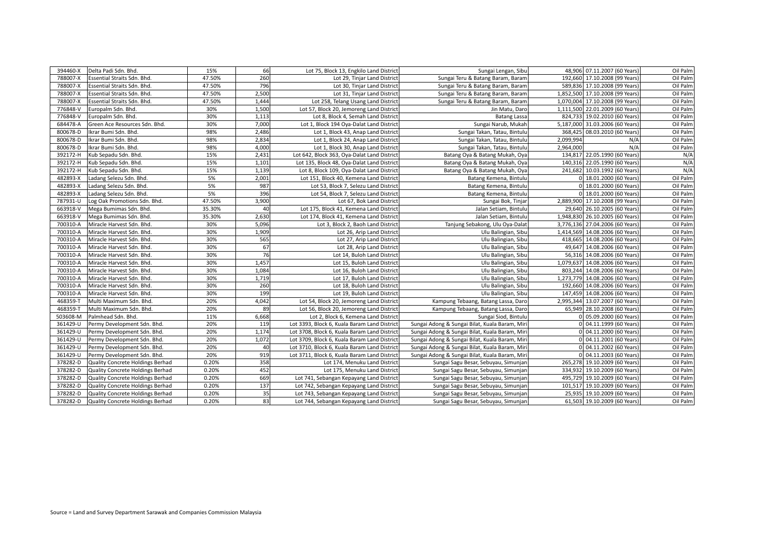| 394460-X | Delta Padi Sdn. Bhd.             | 15%    | 66    | Lot 75, Block 13, Engkilo Land District      | Sungai Lengan, Sibu                            | 48,906 07.11.2007 (60 Years)    | Oil Palm |
|----------|----------------------------------|--------|-------|----------------------------------------------|------------------------------------------------|---------------------------------|----------|
| 788007-X | Essential Straits Sdn. Bhd.      | 47.50% | 260   | Lot 29, Tinjar Land District                 | Sungai Teru & Batang Baram, Baram              | 192,660 17.10.2008 (99 Years)   | Oil Palm |
| 788007-X | Essential Straits Sdn. Bhd.      | 47.50% | 796   | Lot 30, Tinjar Land District                 | Sungai Teru & Batang Baram, Baram              | 589,836 17.10.2008 (99 Years)   | Oil Palm |
| 788007-X | Essential Straits Sdn. Bhd.      | 47.50% | 2,500 | Lot 31, Tinjar Land District                 | Sungai Teru & Batang Baram, Baram              | 1,852,500 17.10.2008 (99 Years) | Oil Palm |
| 788007-X | Essential Straits Sdn. Bhd.      | 47.50% | 1,444 | Lot 258, Telang Usang Land District          | Sungai Teru & Batang Baram, Baram              | 1,070,004 17.10.2008 (99 Years) | Oil Palm |
| 776848-V | Europalm Sdn. Bhd.               | 30%    | 1,500 | Lot 57, Block 20, Jemoreng Land District     | Jin Matu, Daro                                 | 1,111,500 22.01.2009 (60 Years) | Oil Palm |
| 776848-V | Europalm Sdn. Bhd.               | 30%    | 1,113 | Lot 8, Block 4, Semah Land District          | <b>Batang Lassa</b>                            | 824,733 19.02.2010 (60 Years)   | Oil Palm |
| 684478-A | Green Ace Resources Sdn. Bhd.    | 30%    | 7,000 | Lot 1, Block 194 Oya-Dalat Land District     | Sungai Narub, Mukah                            | 5,187,000 31.03.2006 (60 Years) | Oil Palm |
| 800678-D | Ikrar Bumi Sdn. Bhd.             | 98%    | 2,486 | Lot 1, Block 43, Anap Land District          | Sungai Takan, Tatau, Bintulu                   | 368,425 08.03.2010 (60 Years)   | Oil Palm |
| 800678-D | Ikrar Bumi Sdn. Bhd.             | 98%    | 2,834 | Lot 1, Block 24, Anap Land District          | Sungai Takan, Tatau, Bintulu                   | 2,099,994<br>N/A                | Oil Palm |
| 800678-D | Ikrar Bumi Sdn. Bhd.             | 98%    | 4,000 | Lot 1, Block 30, Anap Land District          | Sungai Takan, Tatau, Bintulu                   | N/A<br>2,964,000                | Oil Palm |
| 392172-H | Kub Sepadu Sdn. Bhd.             | 15%    | 2,431 | Lot 642, Block 363, Oya-Dalat Land District  | Batang Oya & Batang Mukah, Oya                 | 134,817 22.05.1990 (60 Years)   | N/A      |
| 392172-H | Kub Sepadu Sdn. Bhd.             | 15%    | 1,101 | Lot 135, Block 48, Oya-Dalat Land District   | Batang Oya & Batang Mukah, Oya                 | 140,316 22.05.1990 (60 Years)   | N/A      |
| 392172-H | Kub Sepadu Sdn. Bhd.             | 15%    | 1,139 | Lot 8, Block 109, Oya-Dalat Land District    | Batang Oya & Batang Mukah, Oya                 | 241,682 10.03.1992 (60 Years)   | N/A      |
| 482893-X | Ladang Selezu Sdn. Bhd.          | 5%     | 2,001 | Lot 151, Block 40, Kemena Land District      | Batang Kemena, Bintulu                         | 0 18.01.2000 (60 Years)         | Oil Palm |
| 482893-X | Ladang Selezu Sdn. Bhd.          | 5%     | 987   | Lot 53, Block 7, Selezu Land District        | Batang Kemena, Bintulu                         | 0 18.01.2000 (60 Years)         | Oil Palm |
| 482893-X | Ladang Selezu Sdn. Bhd.          | 5%     | 396   | Lot 54, Block 7, Selezu Land District        | Batang Kemena, Bintulu                         | 0 18.01.2000 (60 Years)         | Oil Palm |
| 787931-U | Log Oak Promotions Sdn. Bhd.     | 47.50% | 3,900 | Lot 67, Bok Land District                    | Sungai Bok, Tinjar                             | 2,889,900 17.10.2008 (99 Years) | Oil Palm |
| 663918-V | Mega Bumimas Sdn. Bhd.           | 35.30% | 40    | Lot 175, Block 41, Kemena Land District      | Jalan Setiam, Bintulu                          | 29,640 26.10.2005 (60 Years)    | Oil Palm |
| 663918-V | Mega Bumimas Sdn. Bhd.           | 35.30% | 2,630 | Lot 174, Block 41, Kemena Land District      | Jalan Setiam, Bintulu                          | 1,948,830 26.10.2005 (60 Years) | Oil Palm |
| 700310-A | Miracle Harvest Sdn. Bhd.        | 30%    | 5,096 | Lot 3, Block 2, Baoh Land District           | Tanjung Sebakong, Ulu Oya-Dalat                | 3,776,136 27.04.2006 (60 Years) | Oil Palm |
| 700310-A | Miracle Harvest Sdn. Bhd.        | 30%    | 1,909 | Lot 26, Arip Land District                   | Ulu Balingian, Sibu                            | 1,414,569 14.08.2006 (60 Years) | Oil Palm |
| 700310-A | Miracle Harvest Sdn. Bhd.        | 30%    | 565   | Lot 27, Arip Land District                   | Ulu Balingian, Sibu                            | 418,665 14.08.2006 (60 Years)   | Oil Palm |
| 700310-A | Miracle Harvest Sdn. Bhd.        | 30%    | 67    | Lot 28, Arip Land District                   | Ulu Balingian, Sibu                            | 49,647 14.08.2006 (60 Years)    | Oil Palm |
| 700310-A | Miracle Harvest Sdn. Bhd.        | 30%    | 76    | Lot 14, Buloh Land District                  | Ulu Balingian, Sibu                            | 56,316 14.08.2006 (60 Years)    | Oil Palm |
| 700310-A | Miracle Harvest Sdn. Bhd.        | 30%    | 1,457 | Lot 15, Buloh Land District                  | Ulu Balingian, Sibu                            | 1,079,637 14.08.2006 (60 Years) | Oil Palm |
| 700310-A | Miracle Harvest Sdn. Bhd.        | 30%    | 1,084 | Lot 16, Buloh Land District                  | Ulu Balingian, Sibu                            | 803,244 14.08.2006 (60 Years)   | Oil Palm |
| 700310-A | Miracle Harvest Sdn. Bhd.        | 30%    | 1,719 | Lot 17, Buloh Land District                  | Ulu Balingian, Sibu                            | 1,273,779 14.08.2006 (60 Years) | Oil Palm |
| 700310-A | Miracle Harvest Sdn. Bhd.        | 30%    | 260   | Lot 18, Buloh Land District                  | Ulu Balingian, Sibu                            | 192,660 14.08.2006 (60 Years)   | Oil Palm |
| 700310-A | Miracle Harvest Sdn. Bhd.        | 30%    | 199   | Lot 19, Buloh Land District                  | Ulu Balingian, Sibu                            | 147,459 14.08.2006 (60 Years)   | Oil Palm |
| 468359-T | Multi Maximum Sdn. Bhd.          | 20%    | 4,042 | Lot 54, Block 20, Jemoreng Land District     | Kampung Tebaang, Batang Lassa, Daro            | 2,995,344 13.07.2007 (60 Years) | Oil Palm |
| 468359-T | Multi Maximum Sdn. Bhd.          | 20%    | 89    | Lot 56, Block 20, Jemoreng Land District     | Kampung Tebaang, Batang Lassa, Daro            | 65,949 28.10.2008 (60 Years)    | Oil Palm |
| 503608-M | Palmhead Sdn. Bhd.               | 11%    | 6,668 | Lot 2, Block 6, Kemena Land District         | Sungai Siod, Bintulu                           | 0 05.09.2000 (60 Years)         | Oil Palm |
| 361429-U | Permy Development Sdn. Bhd.      | 20%    | 119   | Lot 3393, Block 6, Kuala Baram Land District | Sungai Adong & Sungai Bilat, Kuala Baram, Miri | 0 04.11.1999 (60 Years)         | Oil Palm |
| 361429-U | Permy Development Sdn. Bhd.      | 20%    | 1,174 | Lot 3708, Block 6, Kuala Baram Land District | Sungai Adong & Sungai Bilat, Kuala Baram, Miri | 0 04.11.2000 (60 Years)         | Oil Palm |
| 361429-U | Permy Development Sdn. Bhd.      | 20%    | 1,072 | Lot 3709, Block 6, Kuala Baram Land District | Sungai Adong & Sungai Bilat, Kuala Baram, Miri | 0 04.11.2001 (60 Years)         | Oil Palm |
| 361429-U | Permy Development Sdn. Bhd.      | 20%    | 40    | Lot 3710, Block 6, Kuala Baram Land District | Sungai Adong & Sungai Bilat, Kuala Baram, Miri | 0 04.11.2002 (60 Years)         | Oil Palm |
| 361429-U | Permy Development Sdn. Bhd.      | 20%    | 919   | Lot 3711, Block 6, Kuala Baram Land District | Sungai Adong & Sungai Bilat, Kuala Baram, Miri | 0 04.11.2003 (60 Years)         | Oil Palm |
| 378282-D | Quality Concrete Holdings Berhad | 0.20%  | 358   | Lot 174, Menuku Land District                | Sungai Sagu Besar, Sebuyau, Simunjan           | 265,278 19.10.2009 (60 Years)   | Oil Palm |
| 378282-D | Quality Concrete Holdings Berhad | 0.20%  | 452   | Lot 175, Menuku Land District                | Sungai Sagu Besar, Sebuyau, Simunjan           | 334,932 19.10.2009 (60 Years)   | Oil Palm |
| 378282-D | Quality Concrete Holdings Berhad | 0.20%  | 669   | Lot 741, Sebangan Kepayang Land District     | Sungai Sagu Besar, Sebuyau, Simunjan           | 495,729 19.10.2009 (60 Years)   | Oil Palm |
| 378282-D | Quality Concrete Holdings Berhad | 0.20%  | 137   | Lot 742, Sebangan Kepayang Land District     | Sungai Sagu Besar, Sebuyau, Simunjan           | 101,517 19.10.2009 (60 Years)   | Oil Palm |
| 378282-D | Quality Concrete Holdings Berhad | 0.20%  | 35    | Lot 743, Sebangan Kepayang Land District     | Sungai Sagu Besar, Sebuyau, Simunjan           | 25,935 19.10.2009 (60 Years)    | Oil Palm |
| 378282-D | Quality Concrete Holdings Berhad | 0.20%  | 83    | Lot 744, Sebangan Kepayang Land District     | Sungai Sagu Besar, Sebuyau, Simunjan           | 61,503 19.10.2009 (60 Years)    | Oil Palm |